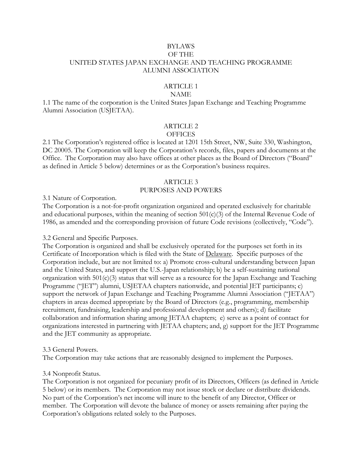### BYLAWS OF THE UNITED STATES JAPAN EXCHANGE AND TEACHING PROGRAMME ALUMNI ASSOCIATION

# ARTICLE 1

### NAME

1.1 The name of the corporation is the United States Japan Exchange and Teaching Programme Alumni Association (USJETAA).

# ARTICLE 2

### **OFFICES**

2.1 The Corporation's registered office is located at 1201 15th Street, NW, Suite 330, Washington, DC 20005. The Corporation will keep the Corporation's records, files, papers and documents at the Office. The Corporation may also have offices at other places as the Board of Directors ("Board" as defined in Article 5 below) determines or as the Corporation's business requires.

# ARTICLE 3

# PURPOSES AND POWERS

3.1 Nature of Corporation.

The Corporation is a not-for-profit organization organized and operated exclusively for charitable and educational purposes, within the meaning of section 501(c)(3) of the Internal Revenue Code of 1986, as amended and the corresponding provision of future Code revisions (collectively, "Code").

### 3.2 General and Specific Purposes.

The Corporation is organized and shall be exclusively operated for the purposes set forth in its Certificate of Incorporation which is filed with the State of Delaware. Specific purposes of the Corporation include, but are not limited to: a) Promote cross-cultural understanding between Japan and the United States, and support the U.S.-Japan relationship; b) be a self-sustaining national organization with  $501(c)(3)$  status that will serve as a resource for the Japan Exchange and Teaching Programme ("JET") alumni, USJETAA chapters nationwide, and potential JET participants; c) support the network of Japan Exchange and Teaching Programme Alumni Association ("JETAA") chapters in areas deemed appropriate by the Board of Directors (e.g., programming, membership recruitment, fundraising, leadership and professional development and others); d) facilitate collaboration and information sharing among JETAA chapters; e) serve as a point of contact for organizations interested in partnering with JETAA chapters; and, g) support for the JET Programme and the JET community as appropriate.

### 3.3 General Powers.

The Corporation may take actions that are reasonably designed to implement the Purposes.

# 3.4 Nonprofit Status.

The Corporation is not organized for pecuniary profit of its Directors, Officers (as defined in Article 5 below) or its members. The Corporation may not issue stock or declare or distribute dividends. No part of the Corporation's net income will inure to the benefit of any Director, Officer or member. The Corporation will devote the balance of money or assets remaining after paying the Corporation's obligations related solely to the Purposes.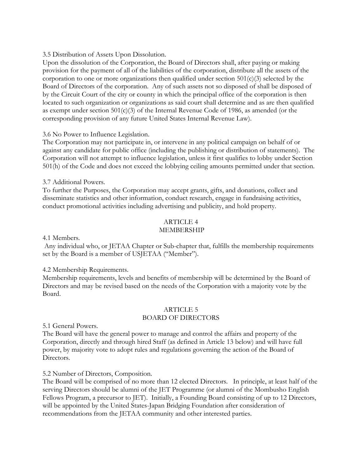### 3.5 Distribution of Assets Upon Dissolution.

Upon the dissolution of the Corporation, the Board of Directors shall, after paying or making provision for the payment of all of the liabilities of the corporation, distribute all the assets of the corporation to one or more organizations then qualified under section  $501(c)(3)$  selected by the Board of Directors of the corporation. Any of such assets not so disposed of shall be disposed of by the Circuit Court of the city or county in which the principal office of the corporation is then located to such organization or organizations as said court shall determine and as are then qualified as exempt under section 501(c)(3) of the Internal Revenue Code of 1986, as amended (or the corresponding provision of any future United States Internal Revenue Law).

3.6 No Power to Influence Legislation.

The Corporation may not participate in, or intervene in any political campaign on behalf of or against any candidate for public office (including the publishing or distribution of statements). The Corporation will not attempt to influence legislation, unless it first qualifies to lobby under Section 501(h) of the Code and does not exceed the lobbying ceiling amounts permitted under that section.

3.7 Additional Powers.

To further the Purposes, the Corporation may accept grants, gifts, and donations, collect and disseminate statistics and other information, conduct research, engage in fundraising activities, conduct promotional activities including advertising and publicity, and hold property.

### ARTICLE 4 MEMBERSHIP

4.1 Members.

Any individual who, or JETAA Chapter or Sub-chapter that, fulfills the membership requirements set by the Board is a member of USJETAA ("Member").

### 4.2 Membership Requirements.

Membership requirements, levels and benefits of membership will be determined by the Board of Directors and may be revised based on the needs of the Corporation with a majority vote by the Board.

### ARTICLE 5 BOARD OF DIRECTORS

5.1 General Powers.

The Board will have the general power to manage and control the affairs and property of the Corporation, directly and through hired Staff (as defined in Article 13 below) and will have full power, by majority vote to adopt rules and regulations governing the action of the Board of Directors.

5.2 Number of Directors, Composition.

The Board will be comprised of no more than 12 elected Directors. In principle, at least half of the serving Directors should be alumni of the JET Programme (or alumni of the Mombusho English Fellows Program, a precursor to JET). Initially, a Founding Board consisting of up to 12 Directors, will be appointed by the United States-Japan Bridging Foundation after consideration of recommendations from the JETAA community and other interested parties.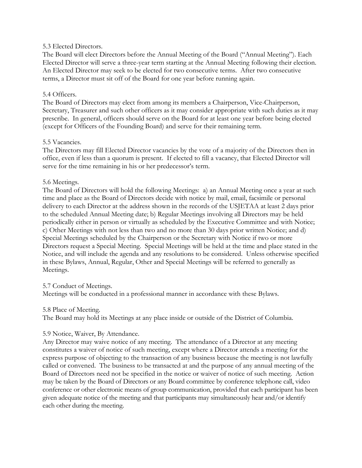### 5.3 Elected Directors.

The Board will elect Directors before the Annual Meeting of the Board ("Annual Meeting"). Each Elected Director will serve a three-year term starting at the Annual Meeting following their election. An Elected Director may seek to be elected for two consecutive terms. After two consecutive terms, a Director must sit off of the Board for one year before running again.

### 5.4 Officers.

The Board of Directors may elect from among its members a Chairperson, Vice-Chairperson, Secretary, Treasurer and such other officers as it may consider appropriate with such duties as it may prescribe. In general, officers should serve on the Board for at least one year before being elected (except for Officers of the Founding Board) and serve for their remaining term.

### 5.5 Vacancies.

The Directors may fill Elected Director vacancies by the vote of a majority of the Directors then in office, even if less than a quorum is present. If elected to fill a vacancy, that Elected Director will serve for the time remaining in his or her predecessor's term.

### 5.6 Meetings.

The Board of Directors will hold the following Meetings: a) an Annual Meeting once a year at such time and place as the Board of Directors decide with notice by mail, email, facsimile or personal delivery to each Director at the address shown in the records of the USJETAA at least 2 days prior to the scheduled Annual Meeting date; b) Regular Meetings involving all Directors may be held periodically either in person or virtually as scheduled by the Executive Committee and with Notice; c) Other Meetings with not less than two and no more than 30 days prior written Notice; and d) Special Meetings scheduled by the Chairperson or the Secretary with Notice if two or more Directors request a Special Meeting. Special Meetings will be held at the time and place stated in the Notice, and will include the agenda and any resolutions to be considered. Unless otherwise specified in these Bylaws, Annual, Regular, Other and Special Meetings will be referred to generally as Meetings.

# 5.7 Conduct of Meetings.

Meetings will be conducted in a professional manner in accordance with these Bylaws.

### 5.8 Place of Meeting.

The Board may hold its Meetings at any place inside or outside of the District of Columbia.

# 5.9 Notice, Waiver, By Attendance.

Any Director may waive notice of any meeting. The attendance of a Director at any meeting constitutes a waiver of notice of such meeting, except where a Director attends a meeting for the express purpose of objecting to the transaction of any business because the meeting is not lawfully called or convened. The business to be transacted at and the purpose of any annual meeting of the Board of Directors need not be specified in the notice or waiver of notice of such meeting. Action may be taken by the Board of Directors or any Board committee by conference telephone call, video conference or other electronic means of group communication, provided that each participant has been given adequate notice of the meeting and that participants may simultaneously hear and/or identify each other during the meeting.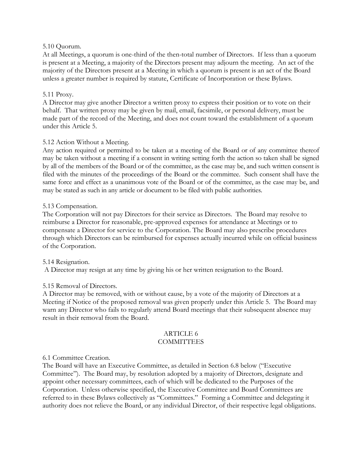### 5.10 Quorum.

At all Meetings, a quorum is one-third of the then-total number of Directors. If less than a quorum is present at a Meeting, a majority of the Directors present may adjourn the meeting. An act of the majority of the Directors present at a Meeting in which a quorum is present is an act of the Board unless a greater number is required by statute, Certificate of Incorporation or these Bylaws.

### 5.11 Proxy.

A Director may give another Director a written proxy to express their position or to vote on their behalf. That written proxy may be given by mail, email, facsimile, or personal delivery, must be made part of the record of the Meeting, and does not count toward the establishment of a quorum under this Article 5.

# 5.12 Action Without a Meeting.

Any action required or permitted to be taken at a meeting of the Board or of any committee thereof may be taken without a meeting if a consent in writing setting forth the action so taken shall be signed by all of the members of the Board or of the committee, as the case may be, and such written consent is filed with the minutes of the proceedings of the Board or the committee. Such consent shall have the same force and effect as a unanimous vote of the Board or of the committee, as the case may be, and may be stated as such in any article or document to be filed with public authorities.

### 5.13 Compensation.

The Corporation will not pay Directors for their service as Directors. The Board may resolve to reimburse a Director for reasonable, pre-approved expenses for attendance at Meetings or to compensate a Director for service to the Corporation. The Board may also prescribe procedures through which Directors can be reimbursed for expenses actually incurred while on official business of the Corporation.

### 5.14 Resignation.

A Director may resign at any time by giving his or her written resignation to the Board.

# 5.15 Removal of Directors.

A Director may be removed, with or without cause, by a vote of the majority of Directors at a Meeting if Notice of the proposed removal was given properly under this Article 5. The Board may warn any Director who fails to regularly attend Board meetings that their subsequent absence may result in their removal from the Board.

### ARTICLE 6 COMMITTEES

### 6.1 Committee Creation.

The Board will have an Executive Committee, as detailed in Section 6.8 below ("Executive Committee"). The Board may, by resolution adopted by a majority of Directors, designate and appoint other necessary committees, each of which will be dedicated to the Purposes of the Corporation. Unless otherwise specified, the Executive Committee and Board Committees are referred to in these Bylaws collectively as "Committees." Forming a Committee and delegating it authority does not relieve the Board, or any individual Director, of their respective legal obligations.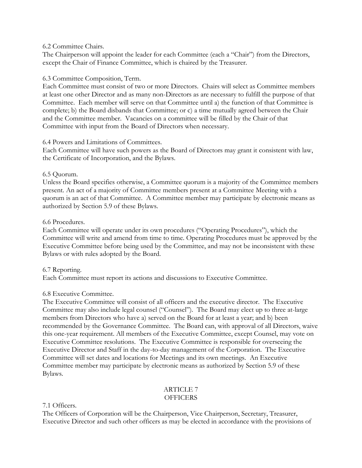### 6.2 Committee Chairs.

The Chairperson will appoint the leader for each Committee (each a "Chair") from the Directors, except the Chair of Finance Committee, which is chaired by the Treasurer.

# 6.3 Committee Composition, Term.

Each Committee must consist of two or more Directors. Chairs will select as Committee members at least one other Director and as many non-Directors as are necessary to fulfill the purpose of that Committee. Each member will serve on that Committee until a) the function of that Committee is complete; b) the Board disbands that Committee; or c) a time mutually agreed between the Chair and the Committee member. Vacancies on a committee will be filled by the Chair of that Committee with input from the Board of Directors when necessary.

# 6.4 Powers and Limitations of Committees.

Each Committee will have such powers as the Board of Directors may grant it consistent with law, the Certificate of Incorporation, and the Bylaws.

# 6.5 Quorum.

Unless the Board specifies otherwise, a Committee quorum is a majority of the Committee members present. An act of a majority of Committee members present at a Committee Meeting with a quorum is an act of that Committee. A Committee member may participate by electronic means as authorized by Section 5.9 of these Bylaws.

# 6.6 Procedures.

Each Committee will operate under its own procedures ("Operating Procedures"), which the Committee will write and amend from time to time. Operating Procedures must be approved by the Executive Committee before being used by the Committee, and may not be inconsistent with these Bylaws or with rules adopted by the Board.

# 6.7 Reporting.

Each Committee must report its actions and discussions to Executive Committee.

# 6.8 Executive Committee.

The Executive Committee will consist of all officers and the executive director. The Executive Committee may also include legal counsel ("Counsel"). The Board may elect up to three at-large members from Directors who have a) served on the Board for at least a year; and b) been recommended by the Governance Committee. The Board can, with approval of all Directors, waive this one-year requirement. All members of the Executive Committee, except Counsel, may vote on Executive Committee resolutions. The Executive Committee is responsible for overseeing the Executive Director and Staff in the day-to-day management of the Corporation. The Executive Committee will set dates and locations for Meetings and its own meetings. An Executive Committee member may participate by electronic means as authorized by Section 5.9 of these Bylaws.

# ARTICLE 7

# **OFFICERS**

# 7.1 Officers.

The Officers of Corporation will be the Chairperson, Vice Chairperson, Secretary, Treasurer, Executive Director and such other officers as may be elected in accordance with the provisions of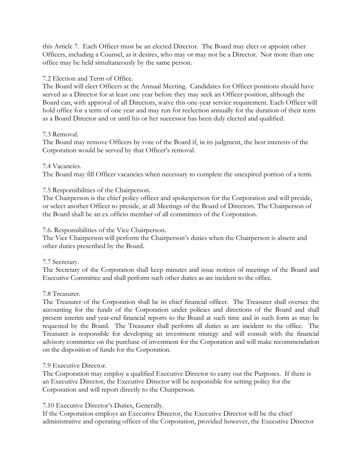this Article 7. Each Officer must be an elected Director. The Board may elect or appoint other Officers, including a Counsel, as it desires, who may or may not be a Director. Not more than one office may be held simultaneously by the same person.

# 7.2 Election and Term of Office.

The Board will elect Officers at the Annual Meeting. Candidates for Officer positions should have served as a Director for at least one year before they may seek an Officer position, although the Board can, with approval of all Directors, waive this one-year service requirement. Each Officer will hold office for a term of one year and may run for reelection annually for the duration of their term as a Board Director and or until his or her successor has been duly elected and qualified.

# 7.3 Removal.

The Board may remove Officers by vote of the Board if, in its judgment, the best interests of the Corporation would be served by that Officer's removal.

# 7.4 Vacancies.

The Board may fill Officer vacancies when necessary to complete the unexpired portion of a term.

# 7.5 Responsibilities of the Chairperson.

The Chairperson is the chief policy officer and spokesperson for the Corporation and will preside, or select another Officer to preside, at all Meetings of the Board of Directors. The Chairperson of the Board shall be an ex officio member of all committees of the Corporation.

# 7.6. Responsibilities of the Vice Chairperson.

The Vice Chairperson will perform the Chairperson's duties when the Chairperson is absent and other duties prescribed by the Board.

# 7.7 Secretary.

The Secretary of the Corporation shall keep minutes and issue notices of meetings of the Board and Executive Committee and shall perform such other duties as are incident to the office.

# 7.8 Treasurer.

The Treasurer of the Corporation shall be its chief financial officer. The Treasurer shall oversee the accounting for the funds of the Corporation under policies and directions of the Board and shall present interim and year-end financial reports to the Board at such time and in such form as may be requested by the Board. The Treasurer shall perform all duties as are incident to the office. The Treasurer is responsible for developing an investment strategy and will consult with the financial advisory committee on the purchase of investment for the Corporation and will make recommendation on the disposition of funds for the Corporation.

# 7.9 Executive Director.

The Corporation may employ a qualified Executive Director to carry out the Purposes. If there is an Executive Director, the Executive Director will be responsible for setting policy for the Corporation and will report directly to the Chairperson.

# 7.10 Executive Director's Duties, Generally.

If the Corporation employs an Executive Director, the Executive Director will be the chief administrative and operating officer of the Corporation, provided however, the Executive Director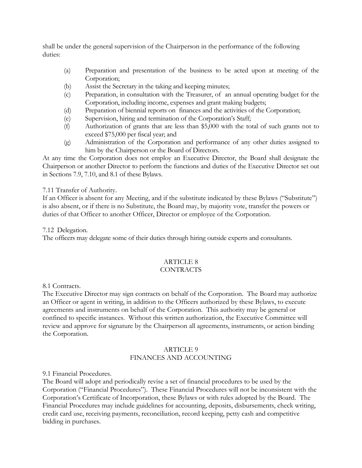shall be under the general supervision of the Chairperson in the performance of the following duties:

- (a) Preparation and presentation of the business to be acted upon at meeting of the Corporation;
- (b) Assist the Secretary in the taking and keeping minutes;
- (c) Preparation, in consultation with the Treasurer, of an annual operating budget for the Corporation, including income, expenses and grant making budgets;
- (d) Preparation of biennial reports on finances and the activities of the Corporation;
- (e) Supervision, hiring and termination of the Corporation's Staff;
- (f) Authorization of grants that are less than \$5,000 with the total of such grants not to exceed \$75,000 per fiscal year; and
- (g) Administration of the Corporation and performance of any other duties assigned to him by the Chairperson or the Board of Directors.

At any time the Corporation does not employ an Executive Director, the Board shall designate the Chairperson or another Director to perform the functions and duties of the Executive Director set out in Sections 7.9, 7.10, and 8.1 of these Bylaws.

# 7.11 Transfer of Authority.

If an Officer is absent for any Meeting, and if the substitute indicated by these Bylaws ("Substitute") is also absent, or if there is no Substitute, the Board may, by majority vote, transfer the powers or duties of that Officer to another Officer, Director or employee of the Corporation.

7.12 Delegation.

The officers may delegate some of their duties through hiring outside experts and consultants.

### ARTICLE 8 CONTRACTS

8.1 Contracts.

The Executive Director may sign contracts on behalf of the Corporation. The Board may authorize an Officer or agent in writing, in addition to the Officers authorized by these Bylaws, to execute agreements and instruments on behalf of the Corporation. This authority may be general or confined to specific instances. Without this written authorization, the Executive Committee will review and approve for signature by the Chairperson all agreements, instruments, or action binding the Corporation.

### ARTICLE 9 FINANCES AND ACCOUNTING

9.1 Financial Procedures.

The Board will adopt and periodically revise a set of financial procedures to be used by the Corporation ("Financial Procedures"). These Financial Procedures will not be inconsistent with the Corporation's Certificate of Incorporation, these Bylaws or with rules adopted by the Board. The Financial Procedures may include guidelines for accounting, deposits, disbursements, check writing, credit card use, receiving payments, reconciliation, record keeping, petty cash and competitive bidding in purchases.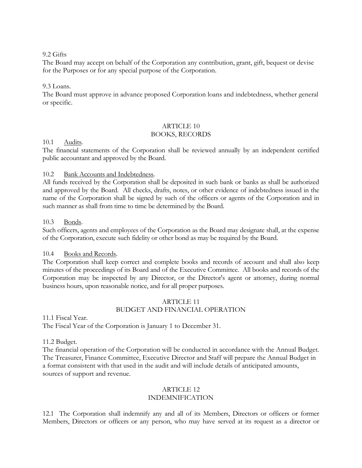# 9.2 Gifts

The Board may accept on behalf of the Corporation any contribution, grant, gift, bequest or devise for the Purposes or for any special purpose of the Corporation.

### 9.3 Loans.

The Board must approve in advance proposed Corporation loans and indebtedness, whether general or specific.

#### ARTICLE 10 BOOKS, RECORDS

# 10.1 Audits.

The financial statements of the Corporation shall be reviewed annually by an independent certified public accountant and approved by the Board.

### 10.2 Bank Accounts and Indebtedness.

All funds received by the Corporation shall be deposited in such bank or banks as shall be authorized and approved by the Board. All checks, drafts, notes, or other evidence of indebtedness issued in the name of the Corporation shall be signed by such of the officers or agents of the Corporation and in such manner as shall from time to time be determined by the Board.

### 10.3 Bonds.

Such officers, agents and employees of the Corporation as the Board may designate shall, at the expense of the Corporation, execute such fidelity or other bond as may be required by the Board.

### 10.4 Books and Records.

The Corporation shall keep correct and complete books and records of account and shall also keep minutes of the proceedings of its Board and of the Executive Committee. All books and records of the Corporation may be inspected by any Director, or the Director's agent or attorney, during normal business hours, upon reasonable notice, and for all proper purposes.

# ARTICLE 11 BUDGET AND FINANCIAL OPERATION

11.1 Fiscal Year.

The Fiscal Year of the Corporation is January 1 to December 31.

### 11.2 Budget.

The financial operation of the Corporation will be conducted in accordance with the Annual Budget. The Treasurer, Finance Committee, Executive Director and Staff will prepare the Annual Budget in a format consistent with that used in the audit and will include details of anticipated amounts, sources of support and revenue.

# ARTICLE 12

# INDEMNIFICATION

12.1 The Corporation shall indemnify any and all of its Members, Directors or officers or former Members, Directors or officers or any person, who may have served at its request as a director or